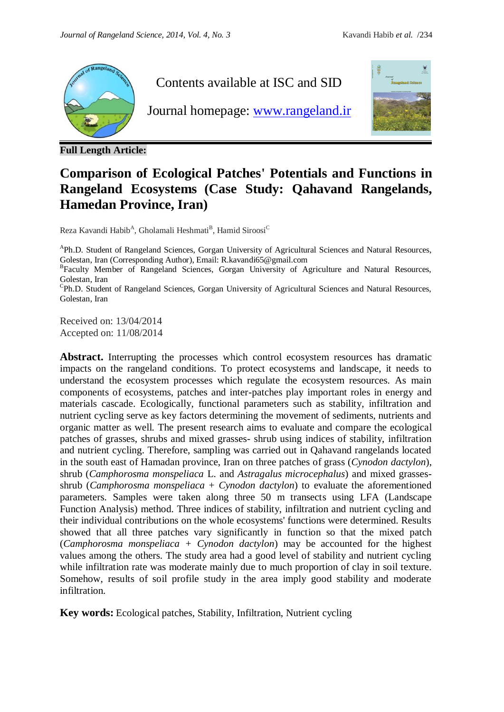

**Full Length Article:**

Contents available at ISC and SID

Journal homepage: [www.rangeland.ir](http://www.rangeland.ir/)



## **Comparison of Ecological Patches' Potentials and Functions in Rangeland Ecosystems (Case Study: Qahavand Rangelands, Hamedan Province, Iran)**

Reza Kavandi Habib<sup>A</sup>, Gholamali Heshmati<sup>B</sup>, Hamid Siroosi<sup>C</sup>

<sup>A</sup>Ph.D. Student of Rangeland Sciences, Gorgan University of Agricultural Sciences and Natural Resources, Golestan, Iran (Corresponding Author), Email: R.kavandi65@gmail.com

<sup>B</sup>Faculty Member of Rangeland Sciences, Gorgan University of Agriculture and Natural Resources, Golestan, Iran

<sup>C</sup>Ph.D. Student of Rangeland Sciences, Gorgan University of Agricultural Sciences and Natural Resources, Golestan, Iran

Received on: 13/04/2014 Accepted on: 11/08/2014

Abstract. Interrupting the processes which control ecosystem resources has dramatic impacts on the rangeland conditions. To protect ecosystems and landscape, it needs to understand the ecosystem processes which regulate the ecosystem resources. As main components of ecosystems, patches and inter-patches play important roles in energy and materials cascade. Ecologically, functional parameters such as stability, infiltration and nutrient cycling serve as key factors determining the movement of sediments, nutrients and organic matter as well. The present research aims to evaluate and compare the ecological patches of grasses, shrubs and mixed grasses- shrub using indices of stability, infiltration and nutrient cycling. Therefore, sampling was carried out in Qahavand rangelands located in the south east of Hamadan province, Iran on three patches of grass (*Cynodon dactylon*), shrub (*Camphorosma monspeliaca* L. and *Astragalus microcephalus*) and mixed grassesshrub (*Camphorosma monspeliaca* + *Cynodon dactylon*) to evaluate the aforementioned parameters. Samples were taken along three 50 m transects using LFA (Landscape Function Analysis) method. Three indices of stability, infiltration and nutrient cycling and their individual contributions on the whole ecosystems' functions were determined. Results showed that all three patches vary significantly in function so that the mixed patch (*Camphorosma monspeliaca + Cynodon dactylon*) may be accounted for the highest values among the others. The study area had a good level of stability and nutrient cycling while infiltration rate was moderate mainly due to much proportion of clay in soil texture. Somehow, results of soil profile study in the area imply good stability and moderate infiltration.

**Key words:** Ecological patches, Stability, Infiltration, Nutrient cycling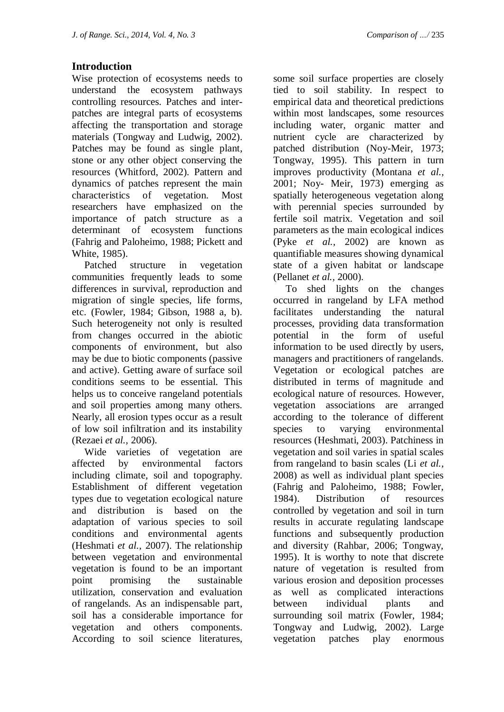## **Introduction**

Wise protection of ecosystems needs to understand the ecosystem pathways controlling resources. Patches and interpatches are integral parts of ecosystems affecting the transportation and storage materials (Tongway and Ludwig, 2002). Patches may be found as single plant, stone or any other object conserving the resources (Whitford, 2002). Pattern and dynamics of patches represent the main characteristics of vegetation. Most researchers have emphasized on the importance of patch structure as a determinant of ecosystem functions (Fahrig and Paloheimo, 1988; Pickett and White, 1985).

 Patched structure in vegetation communities frequently leads to some differences in survival, reproduction and migration of single species, life forms, etc. (Fowler, 1984; Gibson, 1988 a, b). Such heterogeneity not only is resulted from changes occurred in the abiotic components of environment, but also may be due to biotic components (passive and active). Getting aware of surface soil conditions seems to be essential. This helps us to conceive rangeland potentials and soil properties among many others. Nearly, all erosion types occur as a result of low soil infiltration and its instability (Rezaei *et al.,* 2006).

 Wide varieties of vegetation are affected by environmental factors including climate, soil and topography. Establishment of different vegetation types due to vegetation ecological nature and distribution is based on the adaptation of various species to soil conditions and environmental agents (Heshmati *et al.,* 2007). The relationship between vegetation and environmental vegetation is found to be an important point promising the sustainable utilization, conservation and evaluation of rangelands. As an indispensable part, soil has a considerable importance for vegetation and others components. According to soil science literatures,

some soil surface properties are closely tied to soil stability. In respect to empirical data and theoretical predictions within most landscapes, some resources including water, organic matter and nutrient cycle are characterized by patched distribution (Noy-Meir, 1973; Tongway, 1995). This pattern in turn improves productivity (Montana *et al.,* 2001; Noy- Meir, 1973) emerging as spatially heterogeneous vegetation along with perennial species surrounded by fertile soil matrix. Vegetation and soil parameters as the main ecological indices (Pyke *et al.,* 2002) are known as quantifiable measures showing dynamical state of a given habitat or landscape (Pellanet *et al.,* 2000).

 To shed lights on the changes occurred in rangeland by LFA method facilitates understanding the natural processes, providing data transformation potential in the form of useful information to be used directly by users, managers and practitioners of rangelands. Vegetation or ecological patches are distributed in terms of magnitude and ecological nature of resources. However, vegetation associations are arranged according to the tolerance of different species to varying environmental resources (Heshmati, 2003). Patchiness in vegetation and soil varies in spatial scales from rangeland to basin scales (Li *et al.,* 2008) as well as individual plant species (Fahrig and Paloheimo, 1988; Fowler, 1984). Distribution of resources controlled by vegetation and soil in turn results in accurate regulating landscape functions and subsequently production and diversity (Rahbar, 2006; Tongway, 1995). It is worthy to note that discrete nature of vegetation is resulted from various erosion and deposition processes as well as complicated interactions between individual plants and surrounding soil matrix (Fowler, 1984; Tongway and Ludwig, 2002). Large vegetation patches play enormous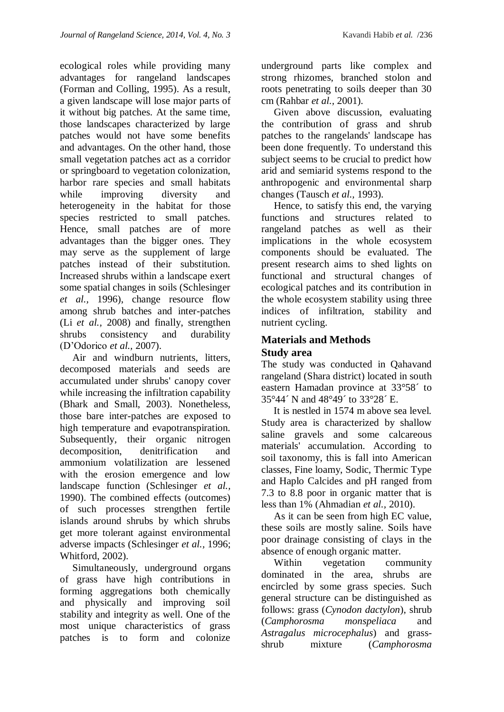ecological roles while providing many advantages for rangeland landscapes (Forman and Colling, 1995). As a result, a given landscape will lose major parts of it without big patches. At the same time, those landscapes characterized by large patches would not have some benefits and advantages. On the other hand, those small vegetation patches act as a corridor or springboard to vegetation colonization, harbor rare species and small habitats while improving diversity and heterogeneity in the habitat for those species restricted to small patches. Hence, small patches are of more advantages than the bigger ones. They may serve as the supplement of large patches instead of their substitution. Increased shrubs within a landscape exert some spatial changes in soils (Schlesinger *et al.,* 1996), change resource flow among shrub batches and inter-patches (Li *et al.,* 2008) and finally, strengthen shrubs consistency and durability (D'Odorico *et al.,* 2007).

 Air and windburn nutrients, litters, decomposed materials and seeds are accumulated under shrubs' canopy cover while increasing the infiltration capability (Bhark and Small, 2003). Nonetheless, those bare inter-patches are exposed to high temperature and evapotranspiration. Subsequently, their organic nitrogen decomposition, denitrification and ammonium volatilization are lessened with the erosion emergence and low landscape function (Schlesinger *et al.,* 1990). The combined effects (outcomes) of such processes strengthen fertile islands around shrubs by which shrubs get more tolerant against environmental adverse impacts (Schlesinger *et al.,* 1996; Whitford, 2002).

 Simultaneously, underground organs of grass have high contributions in forming aggregations both chemically and physically and improving soil stability and integrity as well. One of the most unique characteristics of grass patches is to form and colonize

underground parts like complex and strong rhizomes, branched stolon and roots penetrating to soils deeper than 30 cm (Rahbar *et al.,* 2001).

 Given above discussion, evaluating the contribution of grass and shrub patches to the rangelands' landscape has been done frequently. To understand this subject seems to be crucial to predict how arid and semiarid systems respond to the anthropogenic and environmental sharp changes (Tausch *et al.,* 1993).

 Hence, to satisfy this end, the varying functions and structures related to rangeland patches as well as their implications in the whole ecosystem components should be evaluated. The present research aims to shed lights on functional and structural changes of ecological patches and its contribution in the whole ecosystem stability using three indices of infiltration, stability and nutrient cycling.

## **Materials and Methods Study area**

The study was conducted in Qahavand rangeland (Shara district) located in south eastern Hamadan province at 33°58´ to 35°44´ N and 48°49´ to 33°28´ E.

 It is nestled in 1574 m above sea level. Study area is characterized by shallow saline gravels and some calcareous materials' accumulation. According to soil taxonomy, this is fall into American classes, Fine loamy, Sodic, Thermic Type and Haplo Calcides and pH ranged from 7.3 to 8.8 poor in organic matter that is less than 1% (Ahmadian *et al.,* 2010).

 As it can be seen from high EC value, these soils are mostly saline. Soils have poor drainage consisting of clays in the absence of enough organic matter.

 Within vegetation community dominated in the area, shrubs are encircled by some grass species. Such general structure can be distinguished as follows: grass (*Cynodon dactylon*), shrub (*Camphorosma monspeliaca* and *Astragalus microcephalus*) and grassshrub mixture (*Camphorosma*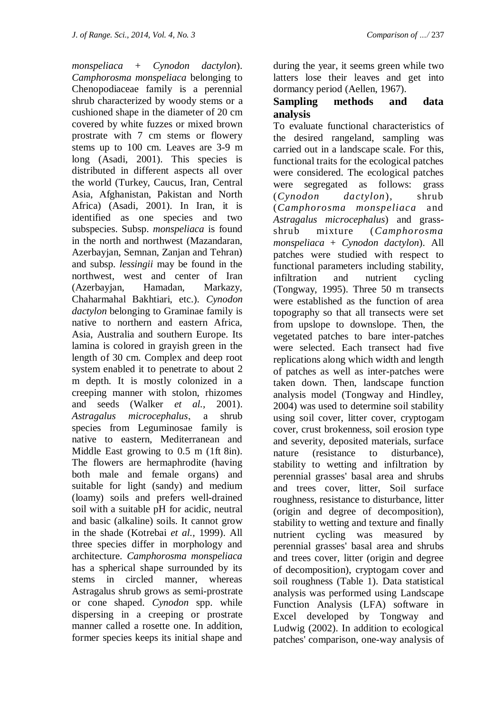*monspeliaca* + *Cynodon dactylon*). *Camphorosma monspeliaca* belonging to Chenopodiaceae family is a perennial shrub characterized by woody stems or a cushioned shape in the diameter of 20 cm covered by white fuzzes or mixed brown prostrate with 7 cm stems or flowery stems up to 100 cm. Leaves are 3-9 m long (Asadi, 2001). This species is distributed in different aspects all over the world (Turkey, Caucus, Iran, Central Asia, Afghanistan, Pakistan and North Africa) (Asadi, 2001). In Iran, it is identified as one species and two subspecies. Subsp. *monspeliaca* is found in the north and northwest (Mazandaran, Azerbayjan, Semnan, Zanjan and Tehran) and subsp. *lessingii* may be found in the northwest, west and center of Iran (Azerbayjan, Hamadan, Markazy, Chaharmahal Bakhtiari, etc.). *Cynodon dactylon* belonging to Graminae family is native to northern and eastern Africa, Asia, Australia and southern Europe. Its lamina is colored in grayish green in the length of 30 cm. Complex and deep root system enabled it to penetrate to about 2 m depth. It is mostly colonized in a creeping manner with stolon, rhizomes and seeds (Walker *et al.,* 2001). *Astragalus microcephalus*, a shrub species from Leguminosae family is native to eastern, Mediterranean and Middle East growing to 0.5 m (1ft 8in). The flowers are hermaphrodite (having both male and female organs) and suitable for light (sandy) and medium (loamy) soils and prefers well-drained soil with a suitable pH for acidic, neutral and basic (alkaline) soils. It cannot grow in the shade (Kotrebai *et al.,* 1999). All three species differ in morphology and architecture. *Camphorosma monspeliaca* has a spherical shape surrounded by its stems in circled manner, whereas Astragalus shrub grows as semi-prostrate or cone shaped. *Cynodon* spp. while dispersing in a creeping or prostrate manner called a rosette one. In addition, former species keeps its initial shape and

during the year, it seems green while two latters lose their leaves and get into dormancy period (Aellen, 1967).

### **Sampling methods and data analysis**

To evaluate functional characteristics of the desired rangeland, sampling was carried out in a landscape scale. For this, functional traits for the ecological patches were considered. The ecological patches were segregated as follows: grass (*Cynodon dactylon*), shrub (*Camphorosma monspeliaca* and *Astragalus microcephalus*) and grassshrub mixture (*Camphorosma monspeliaca* + *Cynodon dactylon*). All patches were studied with respect to functional parameters including stability, infiltration and nutrient cycling (Tongway, 1995). Three 50 m transects were established as the function of area topography so that all transects were set from upslope to downslope. Then, the vegetated patches to bare inter-patches were selected. Each transect had five replications along which width and length of patches as well as inter-patches were taken down. Then, landscape function analysis model (Tongway and Hindley, 2004) was used to determine soil stability using soil cover, litter cover, cryptogam cover, crust brokenness, soil erosion type and severity, deposited materials, surface nature (resistance to disturbance), stability to wetting and infiltration by perennial grasses' basal area and shrubs and trees cover, litter, Soil surface roughness, resistance to disturbance, litter (origin and degree of decomposition), stability to wetting and texture and finally nutrient cycling was measured by perennial grasses' basal area and shrubs and trees cover, litter (origin and degree of decomposition), cryptogam cover and soil roughness (Table 1). Data statistical analysis was performed using Landscape Function Analysis (LFA) software in Excel developed by Tongway and Ludwig (2002). In addition to ecological patches' comparison, one-way analysis of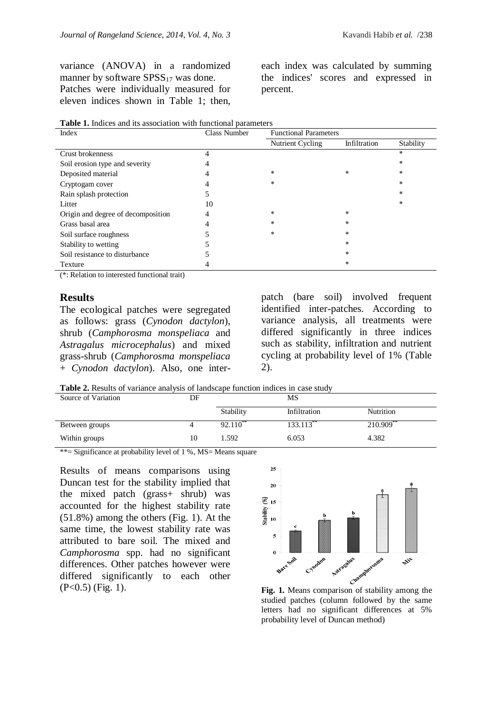variance (ANOVA) in a randomized manner by software  $SPSS_{17}$  was done. Patches were individually measured for eleven indices shown in Table 1; then,

each index was calculated by summing the indices' scores and expressed in percent.

| Index                              | <b>Class Number</b> | <b>Functional Parameters</b> |              |           |
|------------------------------------|---------------------|------------------------------|--------------|-----------|
|                                    |                     | Nutrient Cycling             | Infiltration | Stability |
| Crust brokenness                   | 4                   |                              |              | *         |
| Soil erosion type and severity     |                     |                              |              | *         |
| Deposited material                 | 4                   | $\ast$                       | $\ast$       | $\ast$    |
| Cryptogam cover                    |                     | ∗                            |              | $\ast$    |
| Rain splash protection             |                     |                              |              | $\ast$    |
| Litter                             | 10                  |                              |              | *         |
| Origin and degree of decomposition | 4                   | $\ast$                       | $\ast$       |           |
| Grass basal area                   |                     | $\ast$                       | $\ast$       |           |
| Soil surface roughness             |                     | $\ast$                       | $\ast$       |           |
| Stability to wetting               |                     |                              | $\ast$       |           |
| Soil resistance to disturbance     |                     |                              | $\ast$       |           |
| Texture                            |                     |                              | $\ast$       |           |

**Table 1.** Indices and its association with functional parameters

(\*: Relation to interested functional trait)

#### **Results**

The ecological patches were segregated as follows: grass (*Cynodon dactylon*), shrub (*Camphorosma monspeliaca* and *Astragalus microcephalus*) and mixed grass-shrub (*Camphorosma monspeliaca*  + *Cynodon dactylon*). Also, one interpatch (bare soil) involved frequent identified inter-patches. According to variance analysis, all treatments were differed significantly in three indices such as stability, infiltration and nutrient cycling at probability level of 1% (Table 2).

**Table 2.** Results of variance analysis of landscape function indices in case study

| Source of Variation | DF |                     | MS           |                         |
|---------------------|----|---------------------|--------------|-------------------------|
|                     |    | Stability           | Infiltration | Nutrition               |
| Between groups      | 4  | 92.110 <sup>*</sup> | $133.113$ ** | $210.909$ <sup>**</sup> |
| Within groups       | 10 | 1.592               | 6.053        | 4.382                   |

\*\*= Significance at probability level of 1 %, MS= Means square

Results of means comparisons using Duncan test for the stability implied that the mixed patch (grass+ shrub) was accounted for the highest stability rate (51.8%) among the others (Fig. 1). At the same time, the lowest stability rate was attributed to bare soil. The mixed and *Camphorosma* spp. had no significant differences. Other patches however were differed significantly to each other (P<0.5) (Fig. 1). **Fig. 1.** Means comparison of stability among the



studied patches (column followed by the same letters had no significant differences at 5% probability level of Duncan method)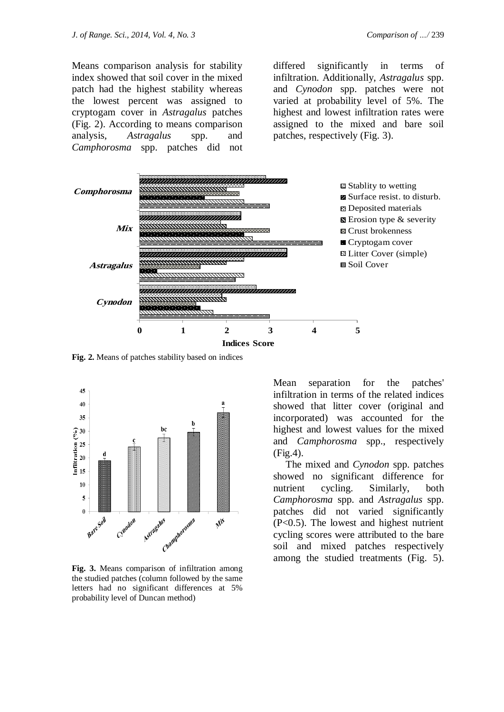Means comparison analysis for stability index showed that soil cover in the mixed patch had the highest stability whereas the lowest percent was assigned to cryptogam cover in *Astragalus* patches (Fig. 2). According to means comparison analysis, *Astragalus* spp. and *Camphorosma* spp. patches did not

differed significantly in terms of infiltration. Additionally, *Astragalus* spp. and *Cynodon* spp. patches were not varied at probability level of 5%. The highest and lowest infiltration rates were assigned to the mixed and bare soil patches, respectively (Fig. 3).



**Fig. 2.** Means of patches stability based on indices



**Fig. 3.** Means comparison of infiltration among the studied patches (column followed by the same letters had no significant differences at 5% probability level of Duncan method)

Mean separation for the patches' infiltration in terms of the related indices showed that litter cover (original and incorporated) was accounted for the highest and lowest values for the mixed and *Camphorosma* spp., respectively (Fig.4).

 The mixed and *Cynodon* spp. patches showed no significant difference for nutrient cycling. Similarly, both *Camphorosma* spp. and *Astragalus* spp. patches did not varied significantly (P<0.5). The lowest and highest nutrient cycling scores were attributed to the bare soil and mixed patches respectively among the studied treatments (Fig. 5).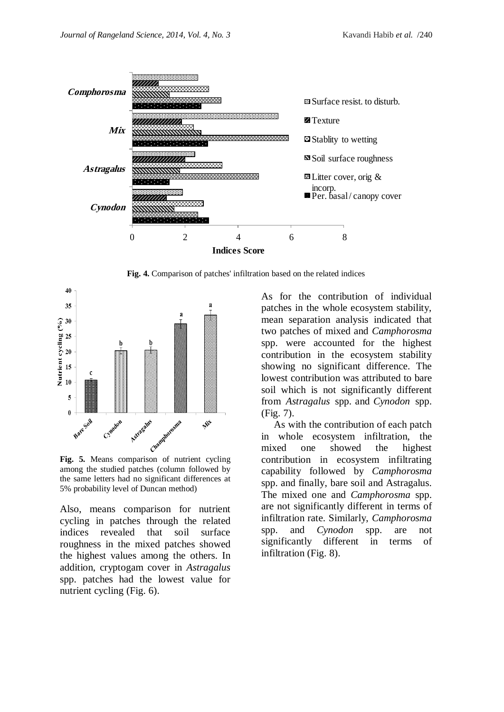

**Fig. 4.** Comparison of patches' infiltration based on the related indices



among the studied patches (column followed by the same letters had no significant differences at 5% probability level of Duncan method)

Also, means comparison for nutrient cycling in patches through the related indices revealed that soil surface roughness in the mixed patches showed the highest values among the others. In addition, cryptogam cover in *Astragalus*  spp. patches had the lowest value for nutrient cycling (Fig. 6).

As for the contribution of individual patches in the whole ecosystem stability, mean separation analysis indicated that two patches of mixed and *Camphorosma*  spp. were accounted for the highest contribution in the ecosystem stability showing no significant difference. The lowest contribution was attributed to bare soil which is not significantly different from *Astragalus* spp. and *Cynodon* spp. (Fig. 7).

 As with the contribution of each patch in whole ecosystem infiltration, the mixed one showed the highest contribution in ecosystem infiltrating capability followed by *Camphorosma*  spp. and finally, bare soil and Astragalus. The mixed one and *Camphorosma* spp. are not significantly different in terms of infiltration rate. Similarly, *Camphorosma*  spp. and *Cynodon* spp. are not significantly different in terms of infiltration (Fig. 8).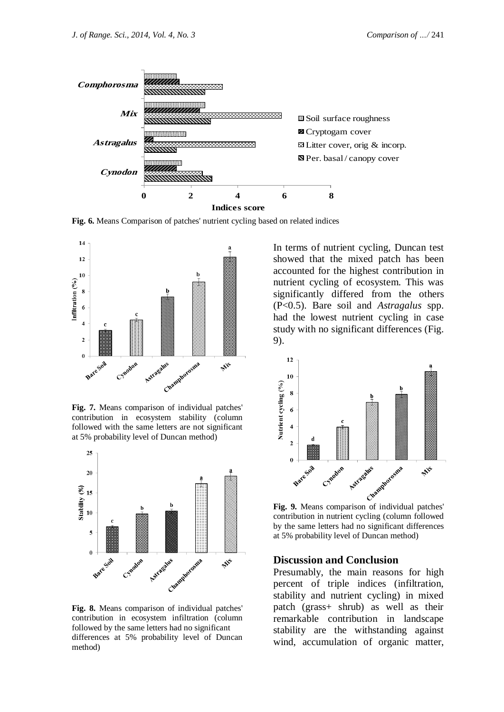

**Fig. 6.** Means Comparison of patches' nutrient cycling based on related indices



**Fig. 7.** Means comparison of individual patches' contribution in ecosystem stability (column followed with the same letters are not significant at 5% probability level of Duncan method)



**Fig. 8.** Means comparison of individual patches' contribution in ecosystem infiltration (column followed by the same letters had no significant differences at 5% probability level of Duncan method)

In terms of nutrient cycling, Duncan test showed that the mixed patch has been accounted for the highest contribution in nutrient cycling of ecosystem. This was significantly differed from the others (P<0.5). Bare soil and *Astragalus* spp. had the lowest nutrient cycling in case study with no significant differences (Fig. 9).



contribution in nutrient cycling (column followed by the same letters had no significant differences at 5% probability level of Duncan method)

#### **Discussion and Conclusion**

Presumably, the main reasons for high percent of triple indices (infiltration, stability and nutrient cycling) in mixed patch (grass+ shrub) as well as their remarkable contribution in landscape stability are the withstanding against wind, accumulation of organic matter,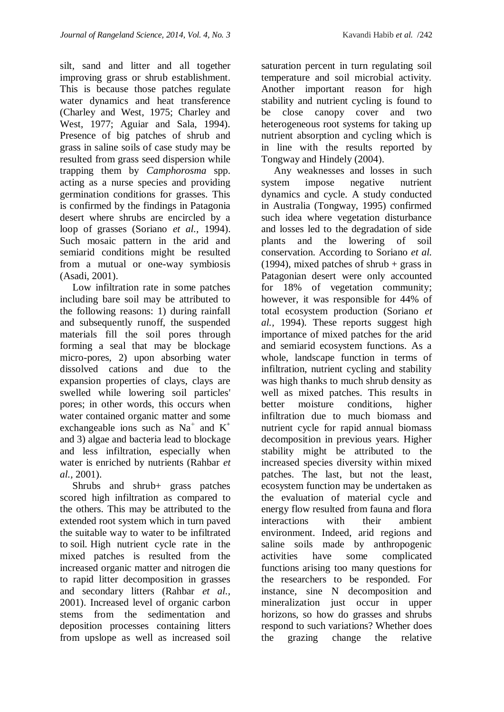silt, sand and litter and all together improving grass or shrub establishment. This is because those patches regulate water dynamics and heat transference (Charley and West, 1975; Charley and West, 1977; Aguiar and Sala, 1994). Presence of big patches of shrub and grass in saline soils of case study may be resulted from grass seed dispersion while trapping them by *Camphorosma* spp. acting as a nurse species and providing germination conditions for grasses. This is confirmed by the findings in Patagonia desert where shrubs are encircled by a loop of grasses (Soriano *et al.,* 1994). Such mosaic pattern in the arid and semiarid conditions might be resulted from a mutual or one-way symbiosis (Asadi, 2001).

 Low infiltration rate in some patches including bare soil may be attributed to the following reasons: 1) during rainfall and subsequently runoff, the suspended materials fill the soil pores through forming a seal that may be blockage micro-pores, 2) upon absorbing water dissolved cations and due to the expansion properties of clays, clays are swelled while lowering soil particles' pores; in other words, this occurs when water contained organic matter and some exchangeable ions such as  $Na<sup>+</sup>$  and  $K<sup>+</sup>$ and 3) algae and bacteria lead to blockage and less infiltration, especially when water is enriched by nutrients (Rahbar *et al.,* 2001).

 Shrubs and shrub+ grass patches scored high infiltration as compared to the others. This may be attributed to the extended root system which in turn paved the suitable way to water to be infiltrated to soil. High nutrient cycle rate in the mixed patches is resulted from the increased organic matter and nitrogen die to rapid litter decomposition in grasses and secondary litters (Rahbar *et al.,* 2001). Increased level of organic carbon stems from the sedimentation and deposition processes containing litters from upslope as well as increased soil

saturation percent in turn regulating soil temperature and soil microbial activity. Another important reason for high stability and nutrient cycling is found to be close canopy cover and two heterogeneous root systems for taking up nutrient absorption and cycling which is in line with the results reported by Tongway and Hindely (2004).

 Any weaknesses and losses in such system impose negative nutrient dynamics and cycle. A study conducted in Australia (Tongway, 1995) confirmed such idea where vegetation disturbance and losses led to the degradation of side plants and the lowering of soil conservation. According to Soriano *et al.* (1994), mixed patches of shrub + grass in Patagonian desert were only accounted for 18% of vegetation community; however, it was responsible for 44% of total ecosystem production (Soriano *et al.,* 1994). These reports suggest high importance of mixed patches for the arid and semiarid ecosystem functions. As a whole, landscape function in terms of infiltration, nutrient cycling and stability was high thanks to much shrub density as well as mixed patches. This results in better moisture conditions, higher infiltration due to much biomass and nutrient cycle for rapid annual biomass decomposition in previous years. Higher stability might be attributed to the increased species diversity within mixed patches. The last, but not the least, ecosystem function may be undertaken as the evaluation of material cycle and energy flow resulted from fauna and flora interactions with their ambient environment. Indeed, arid regions and saline soils made by anthropogenic activities have some complicated functions arising too many questions for the researchers to be responded. For instance, sine N decomposition and mineralization just occur in upper horizons, so how do grasses and shrubs respond to such variations? Whether does the grazing change the relative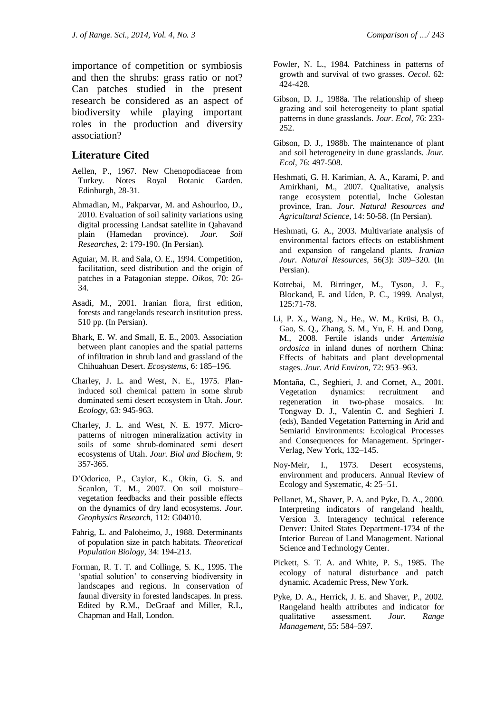importance of competition or symbiosis and then the shrubs: grass ratio or not? Can patches studied in the present research be considered as an aspect of biodiversity while playing important roles in the production and diversity association?

## **Literature Cited**

- Aellen, P., 1967. New Chenopodiaceae from Turkey. Notes Royal Botanic Garden. Edinburgh, 28-31.
- Ahmadian, M., Pakparvar, M. and Ashourloo, D., 2010. Evaluation of soil salinity variations using digital processing Landsat satellite in Qahavand plain (Hamedan province). *Jour. Soil Researches,* 2: 179-190. (In Persian).
- Aguiar, M. R. and Sala, O. E., 1994. Competition, facilitation, seed distribution and the origin of patches in a Patagonian steppe. *Oikos*, 70: 26- 34.
- Asadi, M., 2001. Iranian flora, first edition, forests and rangelands research institution press. 510 pp. (In Persian).
- Bhark, E. W. and Small, E. E., 2003. Association between plant canopies and the spatial patterns of infiltration in shrub land and grassland of the Chihuahuan Desert. *Ecosystems,* 6: 185–196.
- Charley, J. L. and West, N. E., 1975. Planinduced soil chemical pattern in some shrub dominated semi desert ecosystem in Utah. *Jour. Ecology,* 63: 945-963.
- Charley, J. L. and West, N. E. 1977. Micropatterns of nitrogen mineralization activity in soils of some shrub-dominated semi desert ecosystems of Utah. *Jour. Biol and Biochem,* 9: 357-365.
- D'Odorico, P., Caylor, K., Okin, G. S. and Scanlon, T. M., 2007. On soil moisture– vegetation feedbacks and their possible effects on the dynamics of dry land ecosystems. *Jour. Geophysics Research,* 112: G04010.
- Fahrig, L. and Paloheimo, J., 1988. Determinants of population size in patch habitats. *Theoretical Population Biology*, 34: 194-213.
- Forman, R. T. T. and Collinge, S. K., 1995. The 'spatial solution' to conserving biodiversity in landscapes and regions. In conservation of faunal diversity in forested landscapes. In press. Edited by R.M., DeGraaf and Miller, R.I., Chapman and Hall, London.
- Fowler, N. L., 1984. Patchiness in patterns of growth and survival of two grasses. *Oecol*. 62: 424-428.
- Gibson, D. J., 1988a. The relationship of sheep grazing and soil heterogeneity to plant spatial patterns in dune grasslands. *Jour. Ecol,* 76: 233- 252.
- Gibson, D. J., 1988b. The maintenance of plant and soil heterogeneity in dune grasslands. *Jour. Ecol,* 76: 497-508.
- Heshmati, G. H. Karimian, A. A., Karami, P. and Amirkhani, M., 2007. Qualitative, analysis range ecosystem potential, Inche Golestan province, Iran. *Jour. Natural Resources and Agricultural Science,* 14: 50-58. (In Persian).
- Heshmati, G. A., 2003. Multivariate analysis of environmental factors effects on establishment and expansion of rangeland plants*. Iranian Jour. Natural Resources,* 56(3): 309–320. (In Persian).
- Kotrebai, M. Birringer, M., Tyson, J. F., Blockand, E. and Uden, P. C., 1999. Analyst, 125:71-78.
- Li, P. X., Wang, N., He., W. M., Krüsi, B. O., Gao, S. Q., Zhang, S. M., Yu, F. H. and Dong, M., 2008. Fertile islands under *Artemisia ordosica* in inland dunes of northern China: Effects of habitats and plant developmental stages. *Jour. Arid Environ,* 72: 953–963.
- Montaña, C., Seghieri, J. and Cornet, A., 2001. Vegetation dynamics: recruitment and regeneration in two-phase mosaics. In: Tongway D. J., Valentin C. and Seghieri J. (eds), Banded Vegetation Patterning in Arid and Semiarid Environments: Ecological Processes and Consequences for Management. Springer-Verlag, New York, 132–145.
- Noy-Meir, I., 1973. Desert ecosystems, environment and producers. Annual Review of Ecology and Systematic, 4: 25–51.
- Pellanet, M., Shaver, P. A. and Pyke, D. A., 2000. Interpreting indicators of rangeland health, Version 3. Interagency technical reference Denver: United States Department-1734 of the Interior–Bureau of Land Management. National Science and Technology Center.
- Pickett, S. T. A. and White, P. S., 1985. The ecology of natural disturbance and patch dynamic. Academic Press, New York.
- Pyke, D. A., Herrick, J. E. and Shaver, P., 2002. Rangeland health attributes and indicator for qualitative assessment. *Jour. Range Management,* 55: 584–597.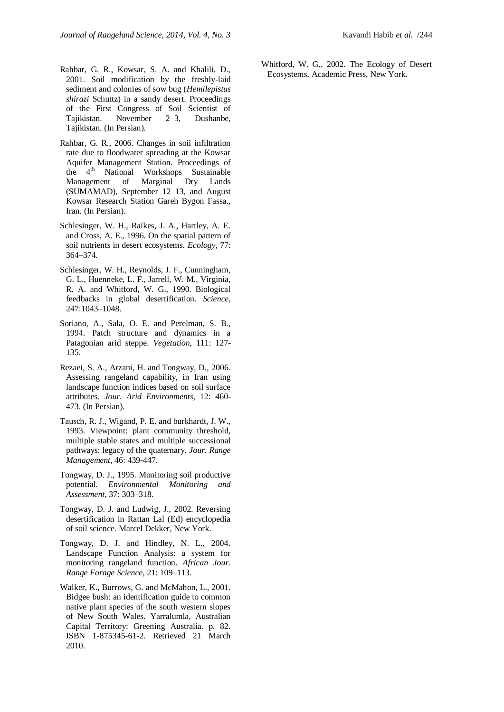- Rahbar, G. R., 2006. Changes in soil infiltration rate due to floodwater spreading at the Kowsar Aquifer Management Station. Proceedings of the 4<sup>th</sup> National Workshops Sustainable Management of Marginal Dry Lands (SUMAMAD), September 12–13, and August Kowsar Research Station Gareh Bygon Fassa., Iran. (In Persian).
- Schlesinger, W. H., Raikes, J. A., Hartley, A. E. and Cross, A. E., 1996. On the spatial pattern of soil nutrients in desert ecosystems. *Ecology,* 77: 364–374.
- Schlesinger, W. H., Reynolds, J. F., Cunningham, G. L., Huenneke, L. F., Jarrell, W. M., Virginia, R. A. and Whitford, W. G., 1990. Biological feedbacks in global desertification. *Science*, 247:1043–1048.
- Soriano, A., Sala, O. E. and Perelman, S. B., 1994. Patch structure and dynamics in a Patagonian arid steppe. *Vegetation*, 111: 127- 135.
- Rezaei, S. A., Arzani, H. and Tongway, D., 2006. Assessing rangeland capability, in Iran using landscape function indices based on soil surface attributes. *Jour. Arid Environments,* 12: 460- 473. (In Persian).
- Tausch, R. J., Wigand, P. E. and burkhardt, J. W., 1993. Viewpoint: plant community threshold, multiple stable states and multiple successional pathways: legacy of the quaternary. *Jour. Range Management*, 46: 439-447.
- Tongway, D. J., 1995. Monitoring soil productive potential. *Environmental Monitoring and Assessment*, 37: 303–318.
- Tongway, D. J. and Ludwig, J., 2002. Reversing desertification in Rattan Lal (Ed) encyclopedia of soil science. Marcel Dekker, New York.
- Tongway, D. J. and Hindley, N. L., 2004. Landscape Function Analysis: a system for monitoring rangeland function. *African Jour. Range Forage Science,* 21: 109–113.
- Walker, K., Burrows, G. and McMahon, L., 2001. Bidgee bush: an identification guide to common native plant species of the south western slopes of New South Wales. Yarralumla, Australian Capital Territory: Greening Australia. p. 82. ISBN 1-875345-61-2. Retrieved 21 March 2010.

Whitford, W. G., 2002. The Ecology of Desert Ecosystems. Academic Press, New York.